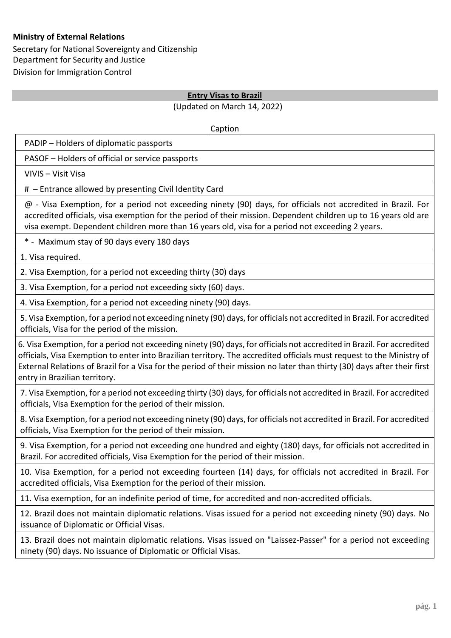## **Ministry of External Relations**

Secretary for National Sovereignty and Citizenship Department for Security and Justice Division for Immigration Control

## **Entry Visas to Brazil**

(Updated on March 14, 2022)

## Caption

PADIP – Holders of diplomatic passports

PASOF – Holders of official or service passports

VIVIS – Visit Visa

# – Entrance allowed by presenting Civil Identity Card

@ - Visa Exemption, for a period not exceeding ninety (90) days, for officials not accredited in Brazil. For accredited officials, visa exemption for the period of their mission. Dependent children up to 16 years old are visa exempt. Dependent children more than 16 years old, visa for a period not exceeding 2 years.

\* - Maximum stay of 90 days every 180 days

1. Visa required.

2. Visa Exemption, for a period not exceeding thirty (30) days

3. Visa Exemption, for a period not exceeding sixty (60) days.

4. Visa Exemption, for a period not exceeding ninety (90) days.

5. Visa Exemption, for a period not exceeding ninety (90) days, for officials not accredited in Brazil. For accredited officials, Visa for the period of the mission.

6. Visa Exemption, for a period not exceeding ninety (90) days, for officials not accredited in Brazil. For accredited officials, Visa Exemption to enter into Brazilian territory. The accredited officials must request to the Ministry of External Relations of Brazil for a Visa for the period of their mission no later than thirty (30) days after their first entry in Brazilian territory.

7. Visa Exemption, for a period not exceeding thirty (30) days, for officials not accredited in Brazil. For accredited officials, Visa Exemption for the period of their mission.

8. Visa Exemption, for a period not exceeding ninety (90) days, for officials not accredited in Brazil. For accredited officials, Visa Exemption for the period of their mission.

9. Visa Exemption, for a period not exceeding one hundred and eighty (180) days, for officials not accredited in Brazil. For accredited officials, Visa Exemption for the period of their mission.

10. Visa Exemption, for a period not exceeding fourteen (14) days, for officials not accredited in Brazil. For accredited officials, Visa Exemption for the period of their mission.

11. Visa exemption, for an indefinite period of time, for accredited and non-accredited officials.

12. Brazil does not maintain diplomatic relations. Visas issued for a period not exceeding ninety (90) days. No issuance of Diplomatic or Official Visas.

13. Brazil does not maintain diplomatic relations. Visas issued on "Laissez-Passer" for a period not exceeding ninety (90) days. No issuance of Diplomatic or Official Visas.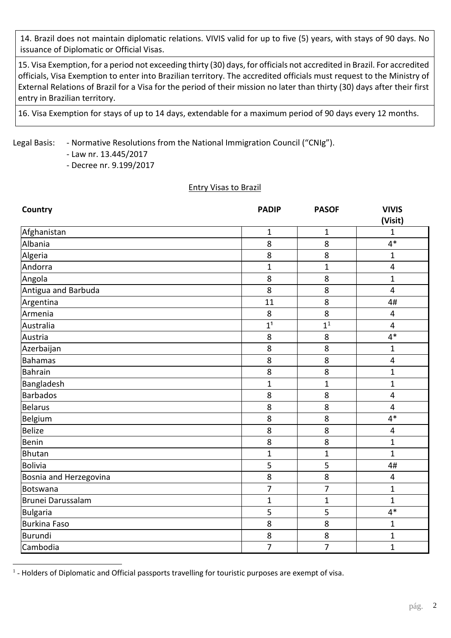14. Brazil does not maintain diplomatic relations. VIVIS valid for up to five (5) years, with stays of 90 days. No issuance of Diplomatic or Official Visas.

15. Visa Exemption, for a period not exceeding thirty (30) days, for officials not accredited in Brazil. For accredited officials, Visa Exemption to enter into Brazilian territory. The accredited officials must request to the Ministry of External Relations of Brazil for a Visa for the period of their mission no later than thirty (30) days after their first entry in Brazilian territory.

16. Visa Exemption for stays of up to 14 days, extendable for a maximum period of 90 days every 12 months.

Legal Basis: - Normative Resolutions from the National Immigration Council ("CNIg").

- Law nr. 13.445/2017

- Decree nr. 9.199/2017

## Entry Visas to Brazil

| Country                | <b>PADIP</b>                | <b>PASOF</b>     | <b>VIVIS</b><br>(Visit) |
|------------------------|-----------------------------|------------------|-------------------------|
| Afghanistan            | 1                           | $\mathbf{1}$     | 1                       |
| Albania                | 8                           | 8                | $4*$                    |
| Algeria                | 8                           | 8                | 1                       |
| Andorra                | $\mathbf 1$                 | $\mathbf{1}$     | $\overline{4}$          |
| Angola                 | 8                           | 8                | 1                       |
| Antigua and Barbuda    | 8                           | 8                | $\overline{4}$          |
| Argentina              | 11                          | 8                | 4#                      |
| Armenia                | 8                           | 8                | $\overline{4}$          |
| Australia              | $\overline{1}$ <sup>1</sup> | $\overline{1^1}$ | $\overline{4}$          |
| Austria                | 8                           | 8                | $4*$                    |
| Azerbaijan             | 8                           | 8                | $\mathbf 1$             |
| <b>Bahamas</b>         | 8                           | 8                | $\overline{\mathbf{4}}$ |
| Bahrain                | 8                           | 8                | $\mathbf 1$             |
| Bangladesh             | $\mathbf 1$                 | $\mathbf{1}$     | $\mathbf 1$             |
| <b>Barbados</b>        | 8                           | 8                | $\overline{4}$          |
| Belarus                | 8                           | 8                | $\overline{4}$          |
| Belgium                | 8                           | 8                | $4*$                    |
| <b>Belize</b>          | 8                           | 8                | $\overline{4}$          |
| Benin                  | 8                           | 8                | $\mathbf 1$             |
| <b>Bhutan</b>          | $\mathbf 1$                 | $\mathbf{1}$     | $\mathbf{1}$            |
| <b>Bolivia</b>         | 5                           | 5                | 4#                      |
| Bosnia and Herzegovina | 8                           | 8                | $\overline{4}$          |
| Botswana               | 7                           | 7                | $\overline{1}$          |
| Brunei Darussalam      | $\overline{1}$              | $\mathbf{1}$     | $\mathbf 1$             |
| Bulgaria               | 5                           | 5                | $4*$                    |
| Burkina Faso           | 8                           | 8                | $\overline{1}$          |
| Burundi                | 8                           | 8                | $\mathbf 1$             |
| Cambodia               | $\overline{7}$              | $\overline{7}$   | $\overline{1}$          |

 $<sup>1</sup>$  - Holders of Diplomatic and Official passports travelling for touristic purposes are exempt of visa.</sup>

l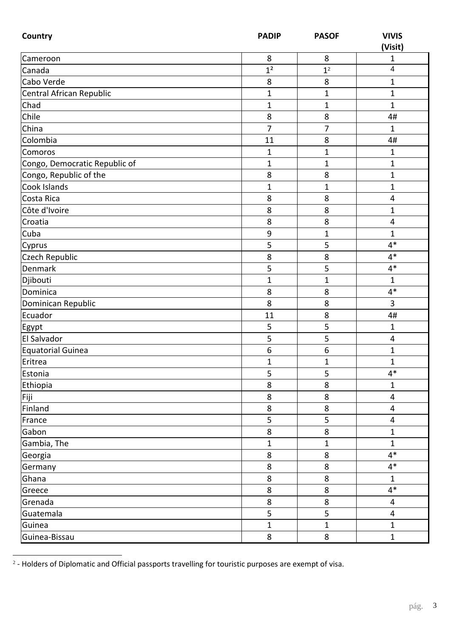| Country                       | <b>PADIP</b>   | <b>PASOF</b>     | <b>VIVIS</b><br>(Visit) |
|-------------------------------|----------------|------------------|-------------------------|
| Cameroon                      | 8              | 8                | 1                       |
| Canada                        | 1 <sup>2</sup> | $\mathbf{1}^2$   | 4                       |
| Cabo Verde                    | 8              | 8                | $\mathbf{1}$            |
| Central African Republic      | $\mathbf{1}$   | 1                | $\mathbf{1}$            |
| Chad                          | $\mathbf{1}$   | 1                | 1                       |
| Chile                         | 8              | 8                | 4#                      |
| China                         | $\overline{7}$ | $\overline{7}$   | 1                       |
| Colombia                      | 11             | 8                | 4#                      |
| Comoros                       | $\mathbf 1$    | 1                | 1                       |
| Congo, Democratic Republic of | $\mathbf{1}$   | 1                | $\mathbf{1}$            |
| Congo, Republic of the        | 8              | 8                | $\mathbf{1}$            |
| Cook Islands                  | $\mathbf{1}$   | 1                | $\mathbf{1}$            |
| Costa Rica                    | 8              | 8                | 4                       |
| Côte d'Ivoire                 | 8              | 8                | 1                       |
| Croatia                       | 8              | 8                | $\overline{\mathbf{4}}$ |
| Cuba                          | 9              | 1                | $\mathbf{1}$            |
| Cyprus                        | 5              | 5                | $4*$                    |
| Czech Republic                | 8              | 8                | $4*$                    |
| Denmark                       | 5              | 5                | $4*$                    |
| Djibouti                      | $\mathbf{1}$   | $\mathbf 1$      | 1                       |
| Dominica                      | 8              | 8                | $4*$                    |
| Dominican Republic            | 8              | 8                | 3                       |
| Ecuador                       | 11             | 8                | 4#                      |
| Egypt                         | 5              | 5                | 1                       |
| El Salvador                   | 5              | $\overline{5}$   | 4                       |
| <b>Equatorial Guinea</b>      | 6              | $\boldsymbol{6}$ | $\mathbf{1}$            |
| Eritrea                       | $\mathbf{1}$   | 1                | 1                       |
| Estonia                       | 5              | 5                | $4*$                    |
| Ethiopia                      | 8              | 8                | $\mathbf{1}$            |
| Fiji                          | 8              | 8                | $\overline{\mathbf{4}}$ |
| Finland                       | 8              | 8                | 4                       |
| France                        | 5              | 5                | 4                       |
| Gabon                         | 8              | 8                | $\mathbf{1}$            |
| Gambia, The                   | $\mathbf{1}$   | $\mathbf{1}$     | $\mathbf{1}$            |
| Georgia                       | 8              | 8                | $4*$                    |
| Germany                       | 8              | 8                | $4*$                    |
| Ghana                         | 8              | 8                | $\mathbf{1}$            |
| Greece                        | 8              | 8                | $4*$                    |
| Grenada                       | 8              | 8                | $\overline{4}$          |
| Guatemala                     | 5              | 5                | 4                       |
| Guinea                        | $\mathbf{1}$   | $\mathbf{1}$     | $\mathbf{1}$            |
| Guinea-Bissau                 | 8              | 8                | $\mathbf{1}$            |
|                               |                |                  |                         |

 $^2$  - Holders of Diplomatic and Official passports travelling for touristic purposes are exempt of visa.

l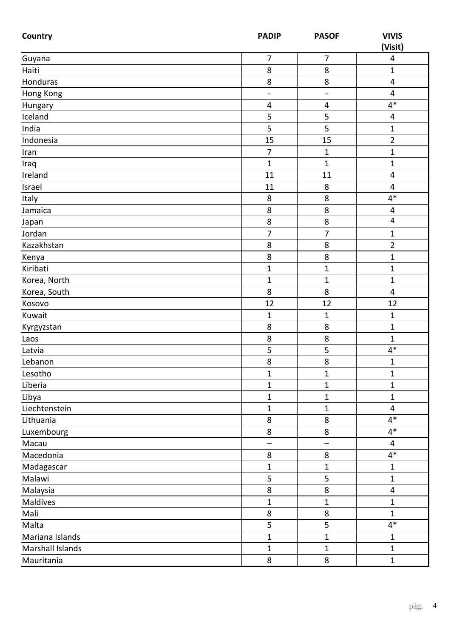| Country          | <b>PADIP</b>                 | <b>PASOF</b>             | <b>VIVIS</b><br>(Visit) |
|------------------|------------------------------|--------------------------|-------------------------|
| Guyana           | $\overline{7}$               | $\overline{7}$           | 4                       |
| Haiti            | 8                            | 8                        | $\mathbf 1$             |
| Honduras         | 8                            | 8                        | $\overline{\mathbf{4}}$ |
| Hong Kong        | $\qquad \qquad \blacksquare$ | $\overline{\phantom{0}}$ | 4                       |
| Hungary          | $\overline{\mathbf{4}}$      | $\overline{\mathbf{4}}$  | $4*$                    |
| Iceland          | 5                            | 5                        | 4                       |
| India            | 5                            | 5                        | $\mathbf 1$             |
| Indonesia        | 15                           | 15                       | $\overline{2}$          |
| Iran             | $\overline{7}$               | $\mathbf 1$              | $\mathbf 1$             |
| Iraq             | $\mathbf{1}$                 | $\overline{1}$           | $\mathbf 1$             |
| Ireland          | 11                           | 11                       | 4                       |
| Israel           | 11                           | 8                        | $\overline{\mathbf{4}}$ |
| Italy            | 8                            | 8                        | $4*$                    |
| Jamaica          | 8                            | 8                        | 4                       |
| Japan            | 8                            | 8                        | $\overline{\mathbf{4}}$ |
| Jordan           | $\overline{7}$               | $\overline{7}$           | $\mathbf{1}$            |
| Kazakhstan       | 8                            | 8                        | $\overline{2}$          |
| Kenya            | 8                            | 8                        | $\mathbf 1$             |
| Kiribati         | $\mathbf{1}$                 | $\mathbf{1}$             | $\mathbf{1}$            |
| Korea, North     | $\mathbf{1}$                 | $\mathbf{1}$             | $\mathbf{1}$            |
| Korea, South     | 8                            | 8                        | 4                       |
| Kosovo           | 12                           | 12                       | 12                      |
| Kuwait           | $\mathbf{1}$                 | $\mathbf 1$              | $\mathbf 1$             |
| Kyrgyzstan       | 8                            | 8                        | $\overline{1}$          |
| Laos             | 8                            | 8                        | $\mathbf{1}$            |
| Latvia           | 5                            | 5                        | $4*$                    |
| Lebanon          | 8                            | 8                        | $\mathbf{1}$            |
| Lesotho          | $\mathbf 1$                  | $\mathbf 1$              | $\mathbf{1}$            |
| Liberia          | 1                            | $\mathbf 1$              | 1                       |
| Libya            | $\mathbf 1$                  | $\mathbf{1}$             | $\mathbf{1}$            |
| Liechtenstein    | $\overline{1}$               | $\mathbf{1}$             | $\overline{4}$          |
| Lithuania        | 8                            | 8                        | $4*$                    |
| Luxembourg       | 8                            | 8                        | $4*$                    |
| Macau            | $\qquad \qquad -$            | $\overline{\phantom{0}}$ | 4                       |
| Macedonia        | 8                            | 8                        | $4*$                    |
| Madagascar       | $\mathbf{1}$                 | $\mathbf{1}$             | $\mathbf{1}$            |
| Malawi           | 5                            | 5                        | $\mathbf{1}$            |
| Malaysia         | 8                            | 8                        | 4                       |
| Maldives         | $\mathbf 1$                  | $\mathbf 1$              | $\mathbf{1}$            |
| Mali             | 8                            | 8                        | $\mathbf{1}$            |
| Malta            | 5                            | 5                        | $4*$                    |
| Mariana Islands  | $\mathbf{1}$                 | $\mathbf{1}$             | $\mathbf{1}$            |
| Marshall Islands | $\mathbf{1}$                 | $\mathbf 1$              | $\mathbf{1}$            |
| Mauritania       | 8                            | 8                        | $\mathbf{1}$            |
|                  |                              |                          |                         |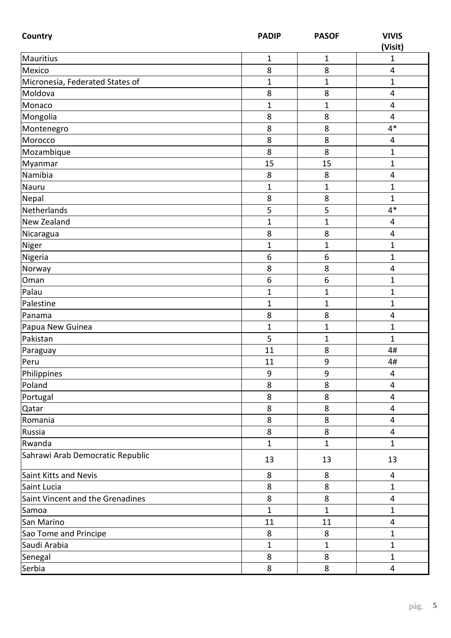| Country                          | <b>PADIP</b>   | <b>PASOF</b>     | <b>VIVIS</b><br>(Visit) |
|----------------------------------|----------------|------------------|-------------------------|
| Mauritius                        | $\mathbf 1$    | $\mathbf 1$      | 1                       |
| Mexico                           | 8              | 8                | 4                       |
| Micronesia, Federated States of  | $\mathbf 1$    | $\mathbf{1}$     | $\mathbf 1$             |
| Moldova                          | 8              | 8                | $\overline{\mathbf{4}}$ |
| Monaco                           | $\overline{1}$ | $\mathbf{1}$     | 4                       |
| Mongolia                         | 8              | 8                | 4                       |
| Montenegro                       | 8              | 8                | $4*$                    |
| Morocco                          | 8              | 8                | 4                       |
| Mozambique                       | 8              | 8                | $\mathbf{1}$            |
| Myanmar                          | 15             | 15               | 1                       |
| Namibia                          | 8              | 8                | $\overline{\mathbf{4}}$ |
| Nauru                            | $\overline{1}$ | $\mathbf{1}$     | $\mathbf{1}$            |
| Nepal                            | 8              | 8                | $\mathbf 1$             |
| Netherlands                      | 5              | 5                | $4*$                    |
| New Zealand                      | $\overline{1}$ | $\mathbf{1}$     | 4                       |
| Nicaragua                        | 8              | 8                | 4                       |
| Niger                            | $\overline{1}$ | $\mathbf{1}$     | $\mathbf 1$             |
| Nigeria                          | 6              | 6                | $\mathbf{1}$            |
| Norway                           | 8              | 8                | 4                       |
| Oman                             | 6              | 6                | $\mathbf 1$             |
| Palau                            | $\mathbf 1$    | $\mathbf{1}$     | $\mathbf 1$             |
| Palestine                        | $\mathbf 1$    | $\mathbf{1}$     | $\mathbf 1$             |
| Panama                           | 8              | 8                | 4                       |
| Papua New Guinea                 | $\overline{1}$ | $\mathbf{1}$     | $\overline{1}$          |
| Pakistan                         | 5              | $\mathbf{1}$     | $\mathbf 1$             |
| Paraguay                         | 11             | 8                | 4#                      |
| Peru                             | 11             | 9                | 4#                      |
| Philippines                      | 9              | $\boldsymbol{9}$ | $\overline{\mathbf{4}}$ |
| Poland                           | 8              | 8                | 4                       |
| Portugal                         | $\,8\,$        | 8                | 4                       |
| Qatar                            | 8              | 8                | 4                       |
| Romania                          | 8              | 8                | $\overline{4}$          |
| Russia                           | 8              | 8                | 4                       |
| Rwanda                           | $\mathbf{1}$   | $\mathbf{1}$     | $\mathbf{1}$            |
| Sahrawi Arab Democratic Republic | 13             | 13               | 13                      |
| <b>Saint Kitts and Nevis</b>     | 8              | 8                | $\overline{4}$          |
| Saint Lucia                      | 8              | 8                | $\mathbf{1}$            |
| Saint Vincent and the Grenadines | 8              | 8                | $\overline{\mathbf{4}}$ |
| Samoa                            | $\mathbf 1$    | $\mathbf{1}$     | $\mathbf{1}$            |
| San Marino                       | 11             | 11               | 4                       |
| Sao Tome and Principe            | $\bf 8$        | 8                | $\mathbf{1}$            |
| Saudi Arabia                     | $\mathbf 1$    | $\mathbf{1}$     | $\mathbf{1}$            |
| Senegal                          | 8              | 8                | $\mathbf{1}$            |
| Serbia                           | 8              | 8                | 4                       |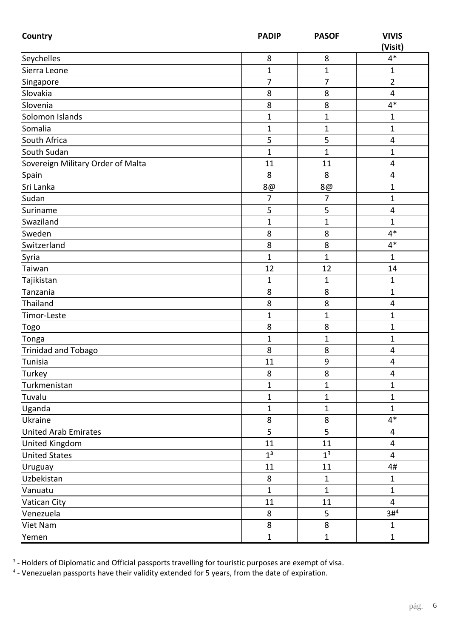| <b>Country</b>                    | <b>PADIP</b>   | <b>PASOF</b>   | <b>VIVIS</b><br>(Visit) |
|-----------------------------------|----------------|----------------|-------------------------|
| Seychelles                        | 8              | 8              | $4*$                    |
| Sierra Leone                      | 1              | $\mathbf{1}$   | 1                       |
| Singapore                         | 7              | $\overline{7}$ | $\overline{2}$          |
| Slovakia                          | 8              | 8              | 4                       |
| Slovenia                          | 8              | 8              | $4*$                    |
| Solomon Islands                   | $\mathbf 1$    | $\mathbf 1$    | 1                       |
| Somalia                           | $\overline{1}$ | 1              | $\overline{1}$          |
| South Africa                      | 5              | 5              | $\overline{\mathbf{4}}$ |
| South Sudan                       | $\mathbf 1$    | $\mathbf{1}$   | $\mathbf 1$             |
| Sovereign Military Order of Malta | 11             | 11             | 4                       |
| Spain                             | 8              | 8              | $\overline{\mathbf{4}}$ |
| Sri Lanka                         | 8@             | 8@             | $\mathbf{1}$            |
| Sudan                             | $\overline{7}$ | $\overline{7}$ | $\mathbf 1$             |
| Suriname                          | 5              | 5              | $\overline{\mathbf{4}}$ |
| Swaziland                         | $\overline{1}$ | $\overline{1}$ | $\mathbf{1}$            |
| Sweden                            | 8              | 8              | $4*$                    |
| Switzerland                       | 8              | 8              | $4*$                    |
| Syria                             | $\mathbf{1}$   | $\mathbf{1}$   | $\mathbf{1}$            |
| Taiwan                            | 12             | 12             | 14                      |
| Tajikistan                        | 1              | 1              | 1                       |
| Tanzania                          | 8              | 8              | $\mathbf{1}$            |
| Thailand                          | 8              | 8              | 4                       |
| Timor-Leste                       | $\mathbf 1$    | $\mathbf{1}$   | $\mathbf{1}$            |
| Togo                              | 8              | 8              | 1                       |
| Tonga                             | $\overline{1}$ | $\mathbf{1}$   | $\mathbf{1}$            |
| <b>Trinidad and Tobago</b>        | 8              | 8              | 4                       |
| Tunisia                           | 11             | 9              | 4                       |
| Turkey                            | 8              | 8              | $\overline{\mathbf{4}}$ |
| Turkmenistan                      | $\mathbf 1$    | 1              | $\mathbf{1}$            |
| Tuvalu                            | $\mathbf 1$    | $\mathbf 1$    | $\mathbf 1$             |
| Uganda                            | 1              | $\mathbf 1$    | $\mathbf{1}$            |
| Ukraine                           | 8              | 8              | $4*$                    |
| <b>United Arab Emirates</b>       | 5              | 5              | $\overline{\mathbf{4}}$ |
| United Kingdom                    | 11             | 11             | $\overline{\mathbf{4}}$ |
| <b>United States</b>              | 1 <sup>3</sup> | 1 <sup>3</sup> | 4                       |
| Uruguay                           | 11             | 11             | 4#                      |
| Uzbekistan                        | 8              | $\mathbf 1$    | $\mathbf{1}$            |
| Vanuatu                           | $\mathbf{1}$   | $\mathbf{1}$   | $\mathbf{1}$            |
| Vatican City                      | 11             | 11             | $\overline{4}$          |
| Venezuela                         | 8              | 5              | $3H^4$                  |
| Viet Nam                          | 8              | 8              | $\mathbf{1}$            |
| Yemen                             | $\mathbf{1}$   | $\mathbf{1}$   | $\mathbf{1}$            |

 $3$  - Holders of Diplomatic and Official passports travelling for touristic purposes are exempt of visa.

l

<sup>4</sup> - Venezuelan passports have their validity extended for 5 years, from the date of expiration.